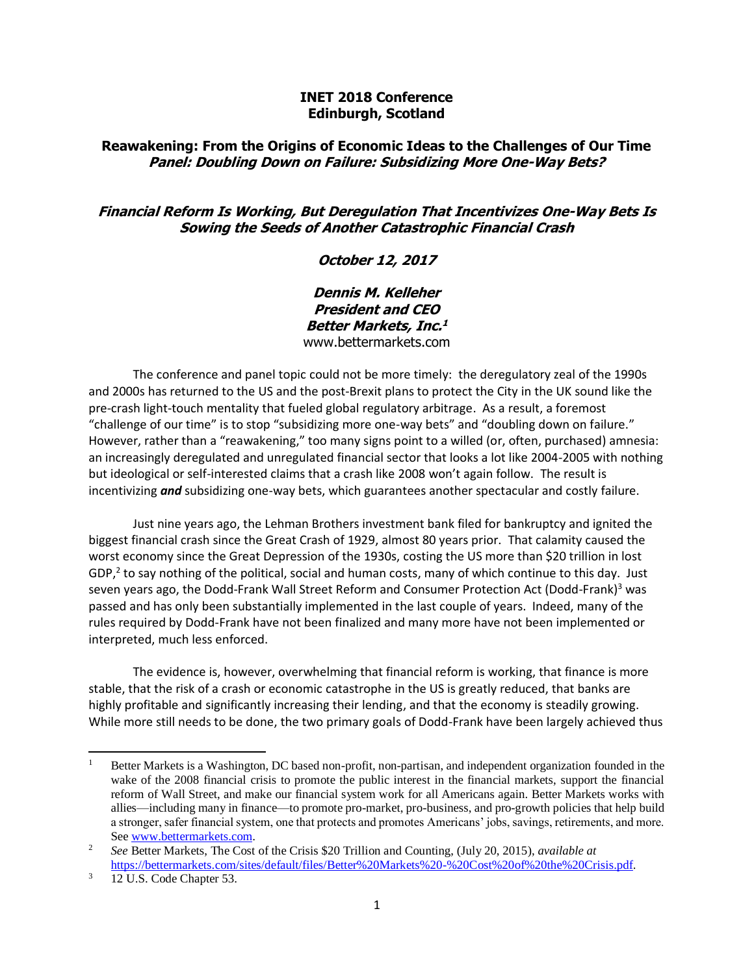#### **INET 2018 Conference Edinburgh, Scotland**

### **Reawakening: From the Origins of Economic Ideas to the Challenges of Our Time Panel: Doubling Down on Failure: Subsidizing More One-Way Bets?**

### **Financial Reform Is Working, But Deregulation That Incentivizes One-Way Bets Is Sowing the Seeds of Another Catastrophic Financial Crash**

# **October 12, 2017**

**Dennis M. Kelleher President and CEO Better Markets, Inc. 1** [www.bettermarkets.com](http://www.bettermarkets.com/)

The conference and panel topic could not be more timely: the deregulatory zeal of the 1990s and 2000s has returned to the US and the post-Brexit plans to protect the City in the UK sound like the pre-crash light-touch mentality that fueled global regulatory arbitrage. As a result, a foremost "challenge of our time" is to stop "subsidizing more one-way bets" and "doubling down on failure." However, rather than a "reawakening," too many signs point to a willed (or, often, purchased) amnesia: an increasingly deregulated and unregulated financial sector that looks a lot like 2004-2005 with nothing but ideological or self-interested claims that a crash like 2008 won't again follow. The result is incentivizing *and* subsidizing one-way bets, which guarantees another spectacular and costly failure.

Just nine years ago, the Lehman Brothers investment bank filed for bankruptcy and ignited the biggest financial crash since the Great Crash of 1929, almost 80 years prior. That calamity caused the worst economy since the Great Depression of the 1930s, costing the US more than \$20 trillion in lost GDP,<sup>2</sup> to say nothing of the political, social and human costs, many of which continue to this day. Just seven years ago, the Dodd-Frank Wall Street Reform and Consumer Protection Act (Dodd-Frank)<sup>3</sup> was passed and has only been substantially implemented in the last couple of years. Indeed, many of the rules required by Dodd-Frank have not been finalized and many more have not been implemented or interpreted, much less enforced.

The evidence is, however, overwhelming that financial reform is working, that finance is more stable, that the risk of a crash or economic catastrophe in the US is greatly reduced, that banks are highly profitable and significantly increasing their lending, and that the economy is steadily growing. While more still needs to be done, the two primary goals of Dodd-Frank have been largely achieved thus

<sup>&</sup>lt;sup>1</sup> Better Markets is a Washington, DC based non-profit, non-partisan, and independent organization founded in the wake of the 2008 financial crisis to promote the public interest in the financial markets, support the financial reform of Wall Street, and make our financial system work for all Americans again. Better Markets works with allies—including many in finance—to promote pro-market, pro-business, and pro-growth policies that help build a stronger, safer financial system, one that protects and promotes Americans' jobs, savings, retirements, and more. See [www.bettermarkets.com.](http://www.bettermarkets.com/)

<sup>2</sup> *See* Better Markets, The Cost of the Crisis \$20 Trillion and Counting, (July 20, 2015), *available at* [https://bettermarkets.com/sites/default/files/Better%20Markets%20-%20Cost%20of%20the%20Crisis.pdf.](https://bettermarkets.com/sites/default/files/Better%20Markets%20-%20Cost%20of%20the%20Crisis.pdf) 

<sup>&</sup>lt;sup>3</sup> 12 U.S. Code Chapter 53.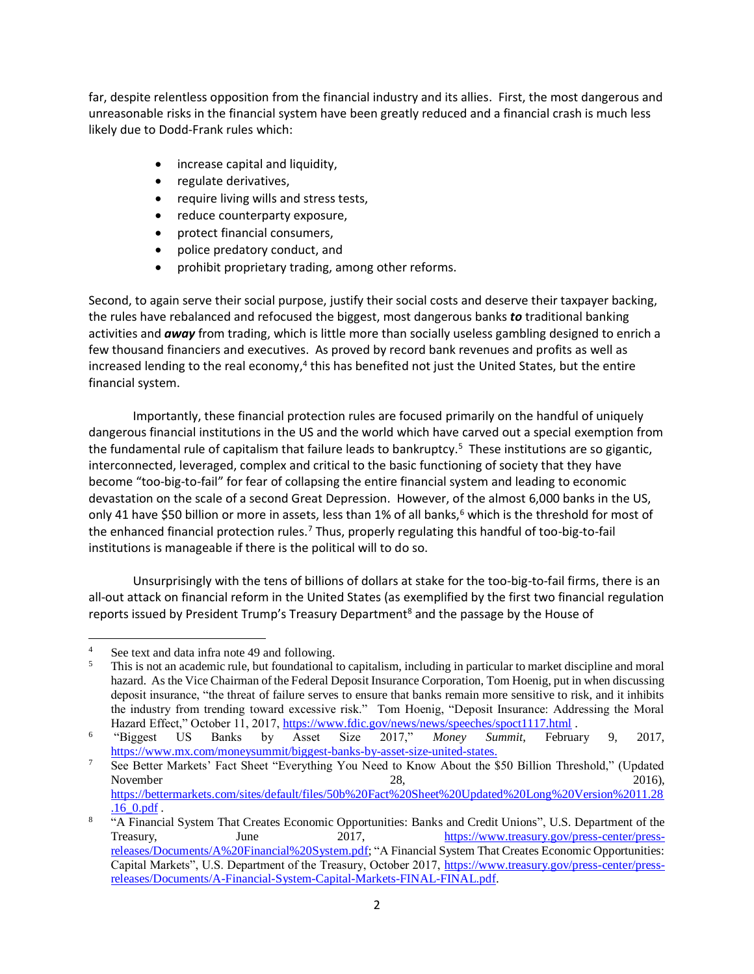far, despite relentless opposition from the financial industry and its allies. First, the most dangerous and unreasonable risks in the financial system have been greatly reduced and a financial crash is much less likely due to Dodd-Frank rules which:

- increase capital and liquidity,
- regulate derivatives,
- require living wills and stress tests,
- reduce counterparty exposure,
- protect financial consumers,
- police predatory conduct, and
- prohibit proprietary trading, among other reforms.

Second, to again serve their social purpose, justify their social costs and deserve their taxpayer backing, the rules have rebalanced and refocused the biggest, most dangerous banks *to* traditional banking activities and *away* from trading, which is little more than socially useless gambling designed to enrich a few thousand financiers and executives. As proved by record bank revenues and profits as well as increased lending to the real economy,<sup>4</sup> this has benefited not just the United States, but the entire financial system.

Importantly, these financial protection rules are focused primarily on the handful of uniquely dangerous financial institutions in the US and the world which have carved out a special exemption from the fundamental rule of capitalism that failure leads to bankruptcy.<sup>5</sup> These institutions are so gigantic, interconnected, leveraged, complex and critical to the basic functioning of society that they have become "too-big-to-fail" for fear of collapsing the entire financial system and leading to economic devastation on the scale of a second Great Depression. However, of the almost 6,000 banks in the US, only 41 have \$50 billion or more in assets, less than 1% of all banks,<sup>6</sup> which is the threshold for most of the enhanced financial protection rules.<sup>7</sup> Thus, properly regulating this handful of too-big-to-fail institutions is manageable if there is the political will to do so.

Unsurprisingly with the tens of billions of dollars at stake for the too-big-to-fail firms, there is an all-out attack on financial reform in the United States (as exemplified by the first two financial regulation reports issued by President Trump's Treasury Department<sup>8</sup> and the passage by the House of

l

<sup>7</sup> See Better Markets' Fact Sheet "Everything You Need to Know About the \$50 Billion Threshold," (Updated November 28,  $2016$ , [https://bettermarkets.com/sites/default/files/50b%20Fact%20Sheet%20Updated%20Long%20Version%2011.28](https://bettermarkets.com/sites/default/files/50b%20Fact%20Sheet%20Updated%20Long%20Version%2011.28.16_0.pdf) [.16\\_0.pdf](https://bettermarkets.com/sites/default/files/50b%20Fact%20Sheet%20Updated%20Long%20Version%2011.28.16_0.pdf) .

<sup>&</sup>lt;sup>4</sup> See text and data infra note 49 and following.<br><sup>5</sup> This is not an academic rule, but foundational

<sup>5</sup> This is not an academic rule, but foundational to capitalism, including in particular to market discipline and moral hazard. As the Vice Chairman of the Federal Deposit Insurance Corporation, Tom Hoenig, put in when discussing deposit insurance, "the threat of failure serves to ensure that banks remain more sensitive to risk, and it inhibits the industry from trending toward excessive risk." Tom Hoenig, "Deposit Insurance: Addressing the Moral

Hazard Effect," October 11, 2017,<https://www.fdic.gov/news/news/speeches/spoct1117.html> .<br>
"Biggest US Banks by Asset Size 2017," Money Summit, Februa 6 "Biggest US Banks by Asset Size 2017," *Money Summit*, February 9, 2017, [https://www.mx.com/moneysummit/biggest-banks-by-asset-size-united-states.](https://www.mx.com/moneysummit/biggest-banks-by-asset-size-united-states)

<sup>8</sup> "A Financial System That Creates Economic Opportunities: Banks and Credit Unions", U.S. Department of the Treasury, June 2017, [https://www.treasury.gov/press-center/press](https://www.treasury.gov/press-center/press-releases/Documents/A%20Financial%20System.pdf)[releases/Documents/A%20Financial%20System.pdf;](https://www.treasury.gov/press-center/press-releases/Documents/A%20Financial%20System.pdf) "A Financial System That Creates Economic Opportunities: Capital Markets", U.S. Department of the Treasury, October 2017, [https://www.treasury.gov/press-center/press](https://www.treasury.gov/press-center/press-releases/Documents/A-Financial-System-Capital-Markets-FINAL-FINAL.pdf)[releases/Documents/A-Financial-System-Capital-Markets-FINAL-FINAL.pdf.](https://www.treasury.gov/press-center/press-releases/Documents/A-Financial-System-Capital-Markets-FINAL-FINAL.pdf)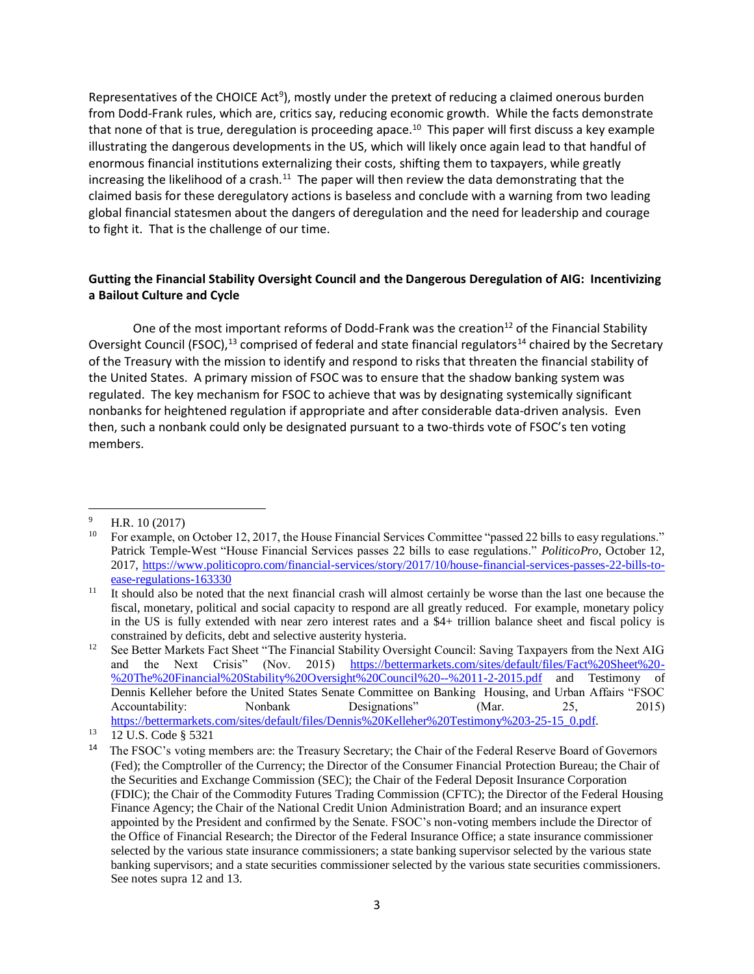Representatives of the CHOICE Act<sup>9</sup>), mostly under the pretext of reducing a claimed onerous burden from Dodd-Frank rules, which are, critics say, reducing economic growth. While the facts demonstrate that none of that is true, deregulation is proceeding apace.<sup>10</sup> This paper will first discuss a key example illustrating the dangerous developments in the US, which will likely once again lead to that handful of enormous financial institutions externalizing their costs, shifting them to taxpayers, while greatly increasing the likelihood of a crash.<sup>11</sup> The paper will then review the data demonstrating that the claimed basis for these deregulatory actions is baseless and conclude with a warning from two leading global financial statesmen about the dangers of deregulation and the need for leadership and courage to fight it. That is the challenge of our time.

### **Gutting the Financial Stability Oversight Council and the Dangerous Deregulation of AIG: Incentivizing a Bailout Culture and Cycle**

One of the most important reforms of Dodd-Frank was the creation<sup>12</sup> of the Financial Stability Oversight Council (FSOC),<sup>13</sup> comprised of federal and state financial regulators<sup>14</sup> chaired by the Secretary of the Treasury with the mission to identify and respond to risks that threaten the financial stability of the United States. A primary mission of FSOC was to ensure that the shadow banking system was regulated. The key mechanism for FSOC to achieve that was by designating systemically significant nonbanks for heightened regulation if appropriate and after considerable data-driven analysis. Even then, such a nonbank could only be designated pursuant to a two-thirds vote of FSOC's ten voting members.

 $^{9}$  H.R. 10 (2017)<br><sup>10</sup> For example on

<sup>10</sup> For example, on October 12, 2017, the House Financial Services Committee "passed 22 bills to easy regulations." Patrick Temple-West "House Financial Services passes 22 bills to ease regulations." *PoliticoPro*, October 12, 2017, [https://www.politicopro.com/financial-services/story/2017/10/house-financial-services-passes-22-bills-to](https://www.politicopro.com/financial-services/story/2017/10/house-financial-services-passes-22-bills-to-ease-regulations-163330)[ease-regulations-163330](https://www.politicopro.com/financial-services/story/2017/10/house-financial-services-passes-22-bills-to-ease-regulations-163330)

<sup>11</sup> It should also be noted that the next financial crash will almost certainly be worse than the last one because the fiscal, monetary, political and social capacity to respond are all greatly reduced. For example, monetary policy in the US is fully extended with near zero interest rates and a \$4+ trillion balance sheet and fiscal policy is constrained by deficits, debt and selective austerity hysteria.

<sup>&</sup>lt;sup>12</sup> See Better Markets Fact Sheet "The Financial Stability Oversight Council: Saving Taxpayers from the Next AIG and the Next Crisis" (Nov. 2015) [https://bettermarkets.com/sites/default/files/Fact%20Sheet%20-](https://bettermarkets.com/sites/default/files/Fact%20Sheet%20-%20The%20Financial%20Stability%20Oversight%20Council%20--%2011-2-2015.pdf) [%20The%20Financial%20Stability%20Oversight%20Council%20--%2011-2-2015.pdf](https://bettermarkets.com/sites/default/files/Fact%20Sheet%20-%20The%20Financial%20Stability%20Oversight%20Council%20--%2011-2-2015.pdf) and Testimony of Dennis Kelleher before the United States Senate Committee on Banking Housing, and Urban Affairs "FSOC Accountability: Nonbank Designations" (Mar. 25, 2015) [https://bettermarkets.com/sites/default/files/Dennis%20Kelleher%20Testimony%203-25-15\\_0.pdf.](https://bettermarkets.com/sites/default/files/Dennis%20Kelleher%20Testimony%203-25-15_0.pdf)

<sup>13</sup> 12 U.S. Code § 5321

<sup>14</sup> The FSOC's voting members are: the Treasury Secretary; the Chair of the Federal Reserve Board of Governors (Fed); the Comptroller of the Currency; the Director of the Consumer Financial Protection Bureau; the Chair of the Securities and Exchange Commission (SEC); the Chair of the Federal Deposit Insurance Corporation (FDIC); the Chair of the Commodity Futures Trading Commission (CFTC); the Director of the Federal Housing Finance Agency; the Chair of the National Credit Union Administration Board; and an insurance expert appointed by the President and confirmed by the Senate. FSOC's non-voting members include the Director of the Office of Financial Research; the Director of the Federal Insurance Office; a state insurance commissioner selected by the various state insurance commissioners; a state banking supervisor selected by the various state banking supervisors; and a state securities commissioner selected by the various state securities commissioners. See notes supra 12 and 13.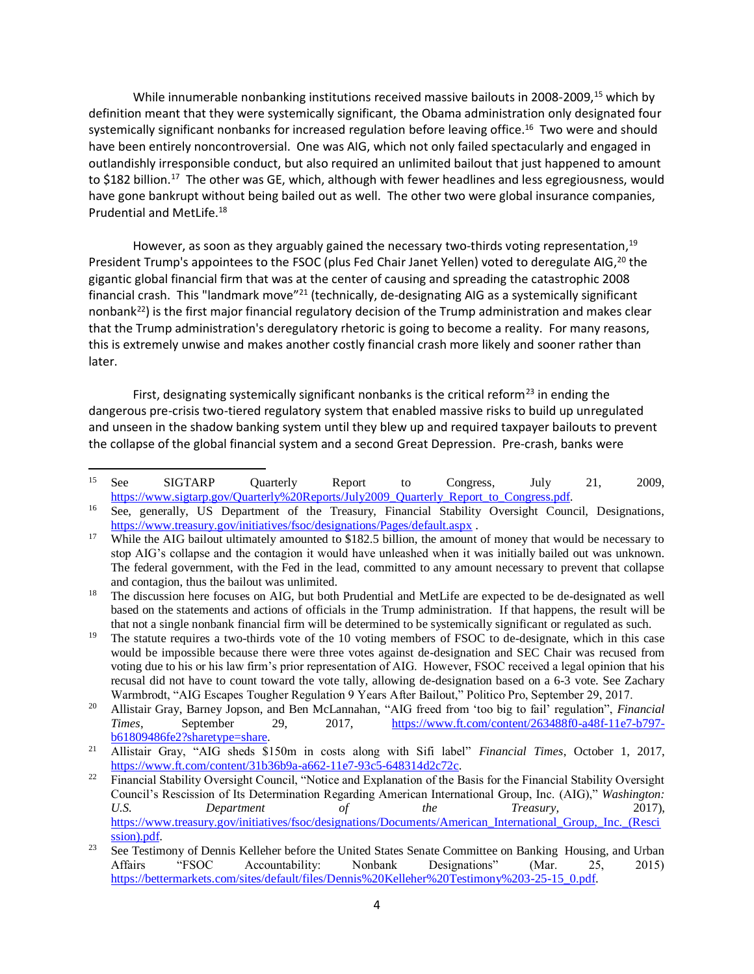While innumerable nonbanking institutions received massive bailouts in 2008-2009,<sup>15</sup> which by definition meant that they were systemically significant, the Obama administration only designated four systemically significant nonbanks for increased regulation before leaving office.<sup>16</sup> Two were and should have been entirely noncontroversial. One was AIG, which not only failed spectacularly and engaged in outlandishly irresponsible conduct, but also required an unlimited bailout that just happened to amount to \$182 billion.<sup>17</sup> The other was GE, which, although with fewer headlines and less egregiousness, would have gone bankrupt without being bailed out as well. The other two were global insurance companies, Prudential and MetLife.<sup>18</sup>

However, as soon as they arguably gained the necessary two-thirds voting representation,<sup>19</sup> President Trump's appointees to the FSOC (plus Fed Chair Janet Yellen) voted to deregulate AIG,<sup>20</sup> the gigantic global financial firm that was at the center of causing and spreading the catastrophic 2008 financial crash. This "landmark move"<sup>21</sup> (technically, de-designating AIG as a systemically significant nonbank<sup>22</sup>) is the first major financial regulatory decision of the Trump administration and makes clear that the Trump administration's deregulatory rhetoric is going to become a reality. For many reasons, this is extremely unwise and makes another costly financial crash more likely and sooner rather than later.

First, designating systemically significant nonbanks is the critical reform<sup>23</sup> in ending the dangerous pre-crisis two-tiered regulatory system that enabled massive risks to build up unregulated and unseen in the shadow banking system until they blew up and required taxpayer bailouts to prevent the collapse of the global financial system and a second Great Depression. Pre-crash, banks were

<sup>15</sup> <sup>15</sup> See SIGTARP Quarterly Report to Congress, July 21, 2009, [https://www.sigtarp.gov/Quarterly%20Reports/July2009\\_Quarterly\\_Report\\_to\\_Congress.pdf.](https://www.sigtarp.gov/Quarterly%20Reports/July2009_Quarterly_Report_to_Congress.pdf)

<sup>&</sup>lt;sup>16</sup> See, generally, US Department of the Treasury, Financial Stability Oversight Council, Designations, <https://www.treasury.gov/initiatives/fsoc/designations/Pages/default.aspx> .

<sup>&</sup>lt;sup>17</sup> While the AIG bailout ultimately amounted to \$182.5 billion, the amount of money that would be necessary to stop AIG's collapse and the contagion it would have unleashed when it was initially bailed out was unknown. The federal government, with the Fed in the lead, committed to any amount necessary to prevent that collapse and contagion, thus the bailout was unlimited.

<sup>&</sup>lt;sup>18</sup> The discussion here focuses on AIG, but both Prudential and MetLife are expected to be de-designated as well based on the statements and actions of officials in the Trump administration. If that happens, the result will be that not a single nonbank financial firm will be determined to be systemically significant or regulated as such.

<sup>&</sup>lt;sup>19</sup> The statute requires a two-thirds vote of the 10 voting members of FSOC to de-designate, which in this case would be impossible because there were three votes against de-designation and SEC Chair was recused from voting due to his or his law firm's prior representation of AIG. However, FSOC received a legal opinion that his recusal did not have to count toward the vote tally, allowing de-designation based on a 6-3 vote. See Zachary Warmbrodt, "AIG Escapes Tougher Regulation 9 Years After Bailout," Politico Pro, September 29, 2017.

<sup>20</sup> Allistair Gray, Barney Jopson, and Ben McLannahan, "AIG freed from 'too big to fail' regulation", *Financial Times*, September 29, 2017, [https://www.ft.com/content/263488f0-a48f-11e7-b797](https://www.ft.com/content/263488f0-a48f-11e7-b797-b61809486fe2?sharetype=share) [b61809486fe2?sharetype=share.](https://www.ft.com/content/263488f0-a48f-11e7-b797-b61809486fe2?sharetype=share) 

<sup>21</sup> Allistair Gray, "AIG sheds \$150m in costs along with Sifi label" *Financial Times*, October 1, 2017, [https://www.ft.com/content/31b36b9a-a662-11e7-93c5-648314d2c72c.](https://www.ft.com/content/31b36b9a-a662-11e7-93c5-648314d2c72c)

<sup>&</sup>lt;sup>22</sup> Financial Stability Oversight Council, "Notice and Explanation of the Basis for the Financial Stability Oversight Council's Rescission of Its Determination Regarding American International Group, Inc. (AIG)," *Washington: U.S. Department of the Treasury,* 2017), [https://www.treasury.gov/initiatives/fsoc/designations/Documents/American\\_International\\_Group,\\_Inc.\\_\(Resci](https://www.treasury.gov/initiatives/fsoc/designations/Documents/American_International_Group,_Inc._(Rescission).pdf) [ssion\).pdf.](https://www.treasury.gov/initiatives/fsoc/designations/Documents/American_International_Group,_Inc._(Rescission).pdf)

<sup>&</sup>lt;sup>23</sup> See Testimony of Dennis Kelleher before the United States Senate Committee on Banking Housing, and Urban Affairs "FSOC Accountability: Nonbank Designations" (Mar. 25, 2015) [https://bettermarkets.com/sites/default/files/Dennis%20Kelleher%20Testimony%203-25-15\\_0.pdf.](https://bettermarkets.com/sites/default/files/Dennis%20Kelleher%20Testimony%203-25-15_0.pdf)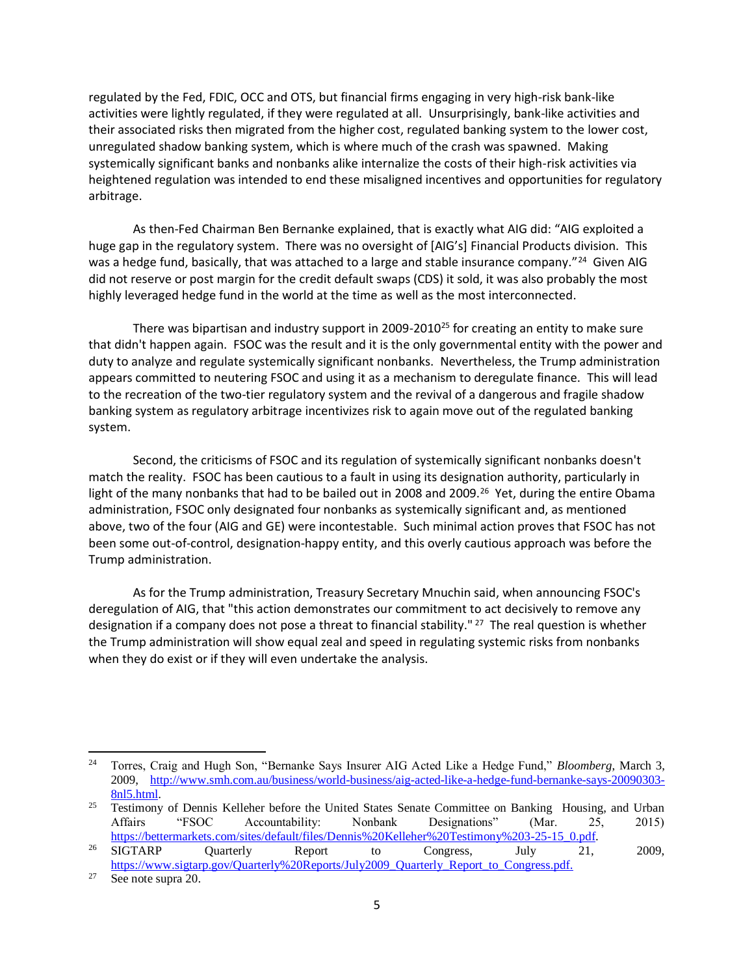regulated by the Fed, FDIC, OCC and OTS, but financial firms engaging in very high-risk bank-like activities were lightly regulated, if they were regulated at all. Unsurprisingly, bank-like activities and their associated risks then migrated from the higher cost, regulated banking system to the lower cost, unregulated shadow banking system, which is where much of the crash was spawned. Making systemically significant banks and nonbanks alike internalize the costs of their high-risk activities via heightened regulation was intended to end these misaligned incentives and opportunities for regulatory arbitrage.

As then-Fed Chairman Ben Bernanke explained, that is exactly what AIG did: "AIG exploited a huge gap in the regulatory system. There was no oversight of [AIG's] Financial Products division. This was a hedge fund, basically, that was attached to a large and stable insurance company."<sup>24</sup> Given AIG did not reserve or post margin for the credit default swaps (CDS) it sold, it was also probably the most highly leveraged hedge fund in the world at the time as well as the most interconnected.

There was bipartisan and industry support in 2009-2010<sup>25</sup> for creating an entity to make sure that didn't happen again. FSOC was the result and it is the only governmental entity with the power and duty to analyze and regulate systemically significant nonbanks. Nevertheless, the Trump administration appears committed to neutering FSOC and using it as a mechanism to deregulate finance. This will lead to the recreation of the two-tier regulatory system and the revival of a dangerous and fragile shadow banking system as regulatory arbitrage incentivizes risk to again move out of the regulated banking system.

Second, the criticisms of FSOC and its regulation of systemically significant nonbanks doesn't match the reality. FSOC has been cautious to a fault in using its designation authority, particularly in light of the many nonbanks that had to be bailed out in 2008 and 2009.<sup>26</sup> Yet, during the entire Obama administration, FSOC only designated four nonbanks as systemically significant and, as mentioned above, two of the four (AIG and GE) were incontestable. Such minimal action proves that FSOC has not been some out-of-control, designation-happy entity, and this overly cautious approach was before the Trump administration.

As for the Trump administration, Treasury Secretary Mnuchin said, when announcing FSOC's deregulation of AIG, that "this action demonstrates our commitment to act decisively to remove any designation if a company does not pose a threat to financial stability." <sup>27</sup> The real question is whether the Trump administration will show equal zeal and speed in regulating systemic risks from nonbanks when they do exist or if they will even undertake the analysis.

<sup>24</sup> Torres, Craig and Hugh Son, "Bernanke Says Insurer AIG Acted Like a Hedge Fund," *Bloomberg*, March 3, 2009, [http://www.smh.com.au/business/world-business/aig-acted-like-a-hedge-fund-bernanke-says-20090303-](http://www.smh.com.au/business/world-business/aig-acted-like-a-hedge-fund-bernanke-says-20090303-8nl5.html) [8nl5.html.](http://www.smh.com.au/business/world-business/aig-acted-like-a-hedge-fund-bernanke-says-20090303-8nl5.html)

<sup>&</sup>lt;sup>25</sup> Testimony of Dennis Kelleher before the United States Senate Committee on Banking Housing, and Urban Affairs "FSOC Accountability: Nonbank Designations" (Mar. 25, 2015) [https://bettermarkets.com/sites/default/files/Dennis%20Kelleher%20Testimony%203-25-15\\_0.pdf.](https://bettermarkets.com/sites/default/files/Dennis%20Kelleher%20Testimony%203-25-15_0.pdf)

 $^{26}$  SIGTARP Quarterly Report to Congress, July 21, 2009, [https://www.sigtarp.gov/Quarterly%20Reports/July2009\\_Quarterly\\_Report\\_to\\_Congress.pdf.](https://www.sigtarp.gov/Quarterly%20Reports/July2009_Quarterly_Report_to_Congress.pdf)

<sup>27</sup> See note supra 20.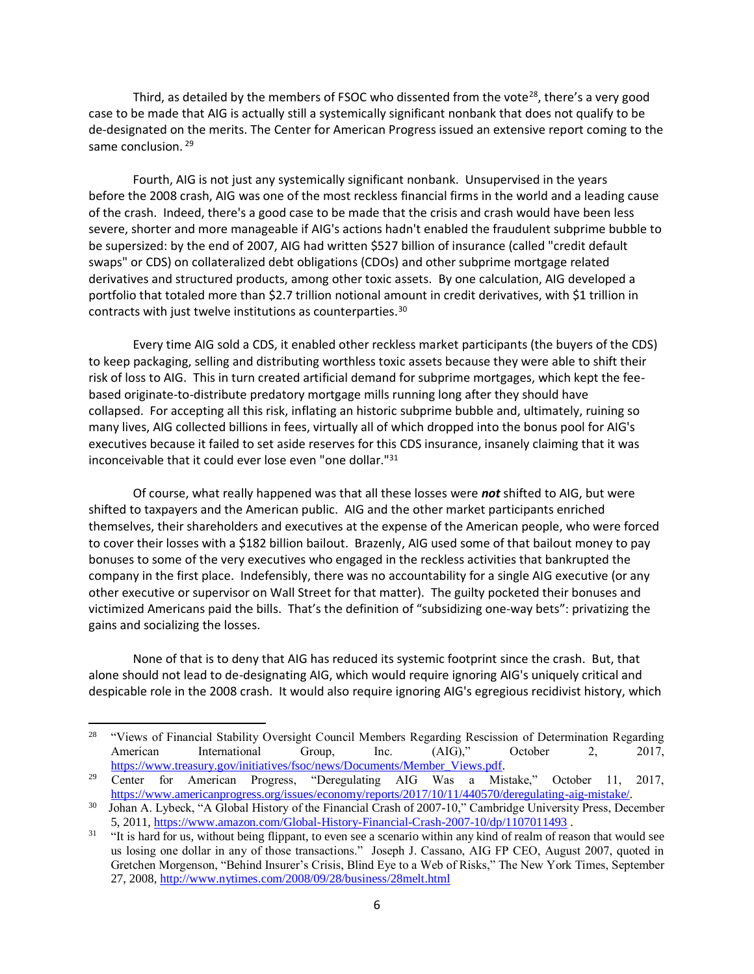Third, as detailed by the members of FSOC who dissented from the vote<sup>28</sup>, there's a very good case to be made that AIG is actually still a systemically significant nonbank that does not qualify to be de-designated on the merits. The Center for American Progress issued an extensive report coming to the same conclusion. <sup>29</sup>

Fourth, AIG is not just any systemically significant nonbank. Unsupervised in the years before the 2008 crash, AIG was one of the most reckless financial firms in the world and a leading cause of the crash. Indeed, there's a good case to be made that the crisis and crash would have been less severe, shorter and more manageable if AIG's actions hadn't enabled the fraudulent subprime bubble to be supersized: by the end of 2007, AIG had written \$527 billion of insurance (called "credit default swaps" or CDS) on collateralized debt obligations (CDOs) and other subprime mortgage related derivatives and structured products, among other toxic assets. By one calculation, AIG developed a portfolio that totaled more than \$2.7 trillion notional amount in credit derivatives, with \$1 trillion in contracts with just twelve institutions as counterparties.<sup>30</sup>

Every time AIG sold a CDS, it enabled other reckless market participants (the buyers of the CDS) to keep packaging, selling and distributing worthless toxic assets because they were able to shift their risk of loss to AIG. This in turn created artificial demand for subprime mortgages, which kept the feebased originate-to-distribute predatory mortgage mills running long after they should have collapsed. For accepting all this risk, inflating an historic subprime bubble and, ultimately, ruining so many lives, AIG collected billions in fees, virtually all of which dropped into the bonus pool for AIG's executives because it failed to set aside reserves for this CDS insurance, insanely claiming that it was inconceivable that it could ever lose even "one dollar."<sup>31</sup>

Of course, what really happened was that all these losses were *not* shifted to AIG, but were shifted to taxpayers and the American public. AIG and the other market participants enriched themselves, their shareholders and executives at the expense of the American people, who were forced to cover their losses with a \$182 billion bailout. Brazenly, AIG used some of that bailout money to pay bonuses to some of the very executives who engaged in the reckless activities that bankrupted the company in the first place. Indefensibly, there was no accountability for a single AIG executive (or any other executive or supervisor on Wall Street for that matter). The guilty pocketed their bonuses and victimized Americans paid the bills. That's the definition of "subsidizing one-way bets": privatizing the gains and socializing the losses.

None of that is to deny that AIG has reduced its systemic footprint since the crash. But, that alone should not lead to de-designating AIG, which would require ignoring AIG's uniquely critical and despicable role in the 2008 crash. It would also require ignoring AIG's egregious recidivist history, which

l

<sup>&</sup>lt;sup>28</sup> "Views of Financial Stability Oversight Council Members Regarding Rescission of Determination Regarding American International Group, Inc. (AIG)," October 2, 2017, [https://www.treasury.gov/initiatives/fsoc/news/Documents/Member\\_Views.pdf.](https://www.treasury.gov/initiatives/fsoc/news/Documents/Member_Views.pdf)

<sup>&</sup>lt;sup>29</sup> Center for American Progress, "Deregulating AIG Was a Mistake," October 11, 2017, [https://www.americanprogress.org/issues/economy/reports/2017/10/11/440570/deregulating-aig-mistake/.](https://www.americanprogress.org/issues/economy/reports/2017/10/11/440570/deregulating-aig-mistake/) 

<sup>30</sup> Johan A. Lybeck, "A Global History of the Financial Crash of 2007-10," Cambridge University Press, December 5, 2011,<https://www.amazon.com/Global-History-Financial-Crash-2007-10/dp/1107011493> .

<sup>&</sup>lt;sup>31</sup> "It is hard for us, without being flippant, to even see a scenario within any kind of realm of reason that would see us losing one dollar in any of those transactions." Joseph J. Cassano, AIG FP CEO, August 2007, quoted in Gretchen Morgenson, "Behind Insurer's Crisis, Blind Eye to a Web of Risks," The New York Times, September 27, 2008,<http://www.nytimes.com/2008/09/28/business/28melt.html>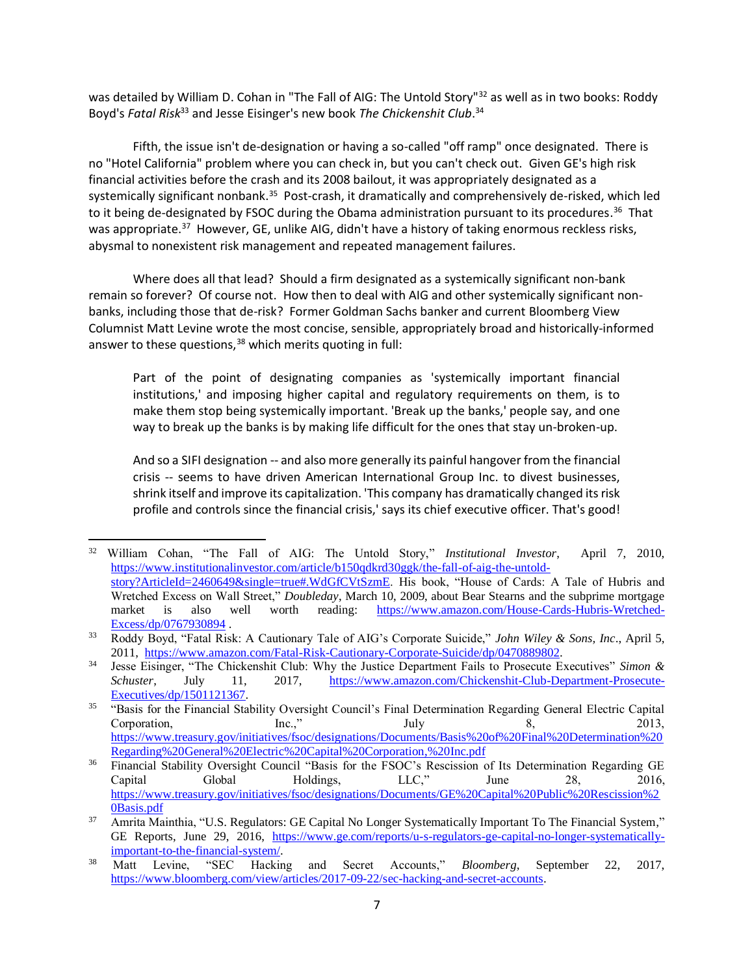was detailed by William D. Cohan in "The Fall of AIG: The Untold Story"<sup>32</sup> as well as in two books: Roddy Boyd's *Fatal Risk*<sup>33</sup> and Jesse Eisinger's new book *The Chickenshit Club*. 34

Fifth, the issue isn't de-designation or having a so-called "off ramp" once designated. There is no "Hotel California" problem where you can check in, but you can't check out. Given GE's high risk financial activities before the crash and its 2008 bailout, it was appropriately designated as a systemically significant nonbank.<sup>35</sup> Post-crash, it dramatically and comprehensively de-risked, which led to it being de-designated by FSOC during the Obama administration pursuant to its procedures.<sup>36</sup> That was appropriate.<sup>37</sup> However, GE, unlike AIG, didn't have a history of taking enormous reckless risks, abysmal to nonexistent risk management and repeated management failures.

Where does all that lead? Should a firm designated as a systemically significant non-bank remain so forever? Of course not. How then to deal with AIG and other systemically significant nonbanks, including those that de-risk? Former Goldman Sachs banker and current Bloomberg View Columnist Matt Levine wrote the most concise, sensible, appropriately broad and historically-informed answer to these questions,<sup>38</sup> which merits quoting in full:

Part of the point of designating companies as 'systemically important financial institutions,' and imposing higher capital and regulatory requirements on them, is to make them stop being systemically important. 'Break up the banks,' people say, and one way to break up the banks is by making life difficult for the ones that stay un-broken-up.

And so a SIFI designation -- and also more generally its painful hangover from the financial crisis -- seems to have driven American International Group Inc. to divest businesses, shrink itself and improve its capitalization. 'This company has dramatically changed its risk profile and controls since the financial crisis,' says its chief executive officer. That's good!

<sup>32</sup> William Cohan, "The Fall of AIG: The Untold Story," *Institutional Investor*, April 7, 2010, [https://www.institutionalinvestor.com/article/b150qdkrd30ggk/the-fall-of-aig-the-untold](https://www.institutionalinvestor.com/article/b150qdkrd30ggk/the-fall-of-aig-the-untold-story?ArticleId=2460649&single=true#.WdGfCVtSzmE)[story?ArticleId=2460649&single=true#.WdGfCVtSzmE.](https://www.institutionalinvestor.com/article/b150qdkrd30ggk/the-fall-of-aig-the-untold-story?ArticleId=2460649&single=true#.WdGfCVtSzmE) His book, "House of Cards: A Tale of Hubris and Wretched Excess on Wall Street," *Doubleday*, March 10, 2009, about Bear Stearns and the subprime mortgage market is also well worth reading: [https://www.amazon.com/House-Cards-Hubris-Wretched-](https://www.amazon.com/House-Cards-Hubris-Wretched-Excess/dp/0767930894)[Excess/dp/0767930894](https://www.amazon.com/House-Cards-Hubris-Wretched-Excess/dp/0767930894) .

<sup>33</sup> Roddy Boyd, "Fatal Risk: A Cautionary Tale of AIG's Corporate Suicide," *John Wiley & Sons, Inc*., April 5, 2011, [https://www.amazon.com/Fatal-Risk-Cautionary-Corporate-Suicide/dp/0470889802.](https://www.amazon.com/Fatal-Risk-Cautionary-Corporate-Suicide/dp/0470889802)

<sup>34</sup> Jesse Eisinger, "The Chickenshit Club: Why the Justice Department Fails to Prosecute Executives" *Simon & Schuster*, July 11, 2017, [https://www.amazon.com/Chickenshit-Club-Department-Prosecute-](https://www.amazon.com/Chickenshit-Club-Department-Prosecute-Executives/dp/1501121367)[Executives/dp/1501121367.](https://www.amazon.com/Chickenshit-Club-Department-Prosecute-Executives/dp/1501121367) 

<sup>35</sup> "Basis for the Financial Stability Oversight Council's Final Determination Regarding General Electric Capital Corporation, Inc.," July 8, 2013, [https://www.treasury.gov/initiatives/fsoc/designations/Documents/Basis%20of%20Final%20Determination%20](https://www.treasury.gov/initiatives/fsoc/designations/Documents/Basis%20of%20Final%20Determination%20Regarding%20General%20Electric%20Capital%20Corporation,%20Inc.pdf) [Regarding%20General%20Electric%20Capital%20Corporation,%20Inc.pdf](https://www.treasury.gov/initiatives/fsoc/designations/Documents/Basis%20of%20Final%20Determination%20Regarding%20General%20Electric%20Capital%20Corporation,%20Inc.pdf)

<sup>36</sup> Financial Stability Oversight Council "Basis for the FSOC's Rescission of Its Determination Regarding GE Capital Global Holdings, LLC," June 28, 2016, [https://www.treasury.gov/initiatives/fsoc/designations/Documents/GE%20Capital%20Public%20Rescission%2](https://www.treasury.gov/initiatives/fsoc/designations/Documents/GE%20Capital%20Public%20Rescission%20Basis.pdf) [0Basis.pdf](https://www.treasury.gov/initiatives/fsoc/designations/Documents/GE%20Capital%20Public%20Rescission%20Basis.pdf)

<sup>&</sup>lt;sup>37</sup> Amrita Mainthia, "U.S. Regulators: GE Capital No Longer Systematically Important To The Financial System," GE Reports, June 29, 2016, [https://www.ge.com/reports/u-s-regulators-ge-capital-no-longer-systematically](https://www.ge.com/reports/u-s-regulators-ge-capital-no-longer-systematically-important-to-the-financial-system/)[important-to-the-financial-system/.](https://www.ge.com/reports/u-s-regulators-ge-capital-no-longer-systematically-important-to-the-financial-system/)<br>Matt Levine, "SEC Hacking

<sup>38</sup> Matt Levine, "SEC Hacking and Secret Accounts," *Bloomberg*, September 22, 2017, [https://www.bloomberg.com/view/articles/2017-09-22/sec-hacking-and-secret-accounts.](https://www.bloomberg.com/view/articles/2017-09-22/sec-hacking-and-secret-accounts)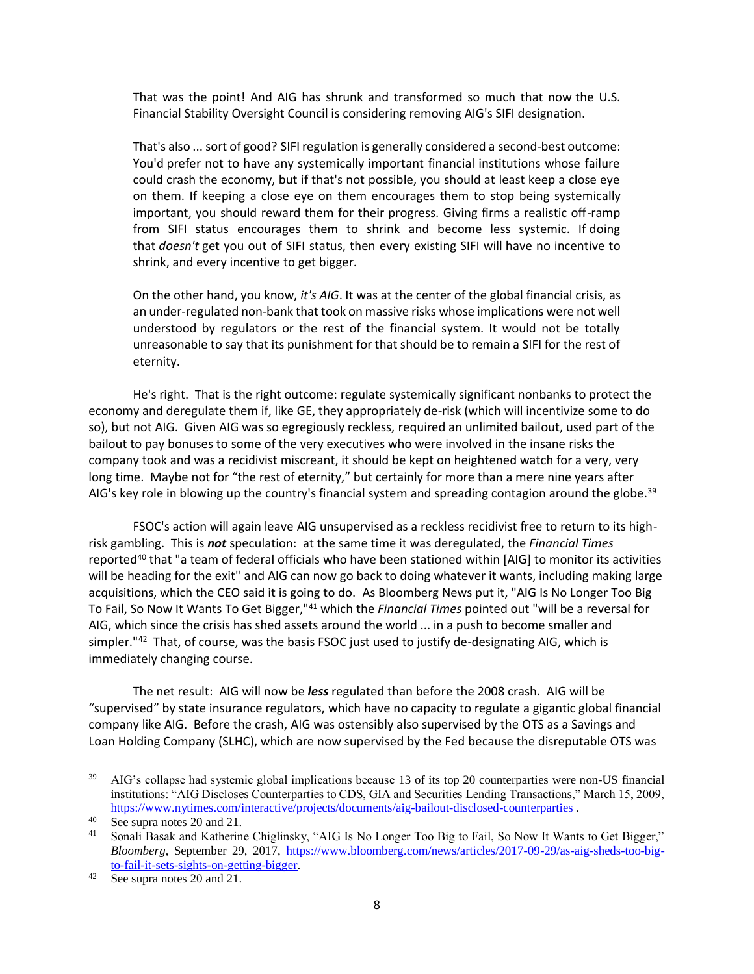That was the point! And AIG has shrunk and transformed so much that now the U.S. Financial Stability Oversight Council is considering removing AIG's SIFI designation.

That's also ... sort of good? SIFI regulation is generally considered a second-best outcome: You'd prefer not to have any systemically important financial institutions whose failure could crash the economy, but if that's not possible, you should at least keep a close eye on them. If keeping a close eye on them encourages them to stop being systemically important, you should reward them for their progress. Giving firms a realistic off-ramp from SIFI status encourages them to shrink and become less systemic. If doing that *doesn't* get you out of SIFI status, then every existing SIFI will have no incentive to shrink, and every incentive to get bigger.

On the other hand, you know, *it's AIG*. It was at the center of the global financial crisis, as an under-regulated non-bank that took on massive risks whose implications were not well understood by regulators or the rest of the financial system. It would not be totally unreasonable to say that its punishment for that should be to remain a SIFI for the rest of eternity.

He's right. That is the right outcome: regulate systemically significant nonbanks to protect the economy and deregulate them if, like GE, they appropriately de-risk (which will incentivize some to do so), but not AIG. Given AIG was so egregiously reckless, required an unlimited bailout, used part of the bailout to pay bonuses to some of the very executives who were involved in the insane risks the company took and was a recidivist miscreant, it should be kept on heightened watch for a very, very long time. Maybe not for "the rest of eternity," but certainly for more than a mere nine years after AIG's key role in blowing up the country's financial system and spreading contagion around the globe.<sup>39</sup>

FSOC's action will again leave AIG unsupervised as a reckless recidivist free to return to its highrisk gambling. This is *not* speculation: at the same time it was deregulated, the *Financial Times* reported<sup>40</sup> that "a team of federal officials who have been stationed within  $[AG]$  to monitor its activities will be heading for the exit" and AIG can now go back to doing whatever it wants, including making large acquisitions, which the CEO said it is going to do. As Bloomberg News put it, "AIG Is No Longer Too Big To Fail, So Now It Wants To Get Bigger,"<sup>41</sup> which the *Financial Times* pointed out "will be a reversal for AIG, which since the crisis has shed assets around the world ... in a push to become smaller and simpler."<sup>42</sup> That, of course, was the basis FSOC just used to justify de-designating AIG, which is immediately changing course.

The net result: AIG will now be *less* regulated than before the 2008 crash. AIG will be "supervised" by state insurance regulators, which have no capacity to regulate a gigantic global financial company like AIG. Before the crash, AIG was ostensibly also supervised by the OTS as a Savings and Loan Holding Company (SLHC), which are now supervised by the Fed because the disreputable OTS was

l

<sup>&</sup>lt;sup>39</sup> AIG's collapse had systemic global implications because 13 of its top 20 counterparties were non-US financial institutions: "AIG Discloses Counterparties to CDS, GIA and Securities Lending Transactions," March 15, 2009, <https://www.nytimes.com/interactive/projects/documents/aig-bailout-disclosed-counterparties> .

<sup>40</sup> See supra notes 20 and 21.

<sup>&</sup>lt;sup>41</sup> Sonali Basak and Katherine Chiglinsky, "AIG Is No Longer Too Big to Fail, So Now It Wants to Get Bigger," *Bloomberg*, September 29, 2017, [https://www.bloomberg.com/news/articles/2017-09-29/as-aig-sheds-too-big](https://www.bloomberg.com/news/articles/2017-09-29/as-aig-sheds-too-big-to-fail-it-sets-sights-on-getting-bigger)[to-fail-it-sets-sights-on-getting-bigger.](https://www.bloomberg.com/news/articles/2017-09-29/as-aig-sheds-too-big-to-fail-it-sets-sights-on-getting-bigger)

See supra notes 20 and 21.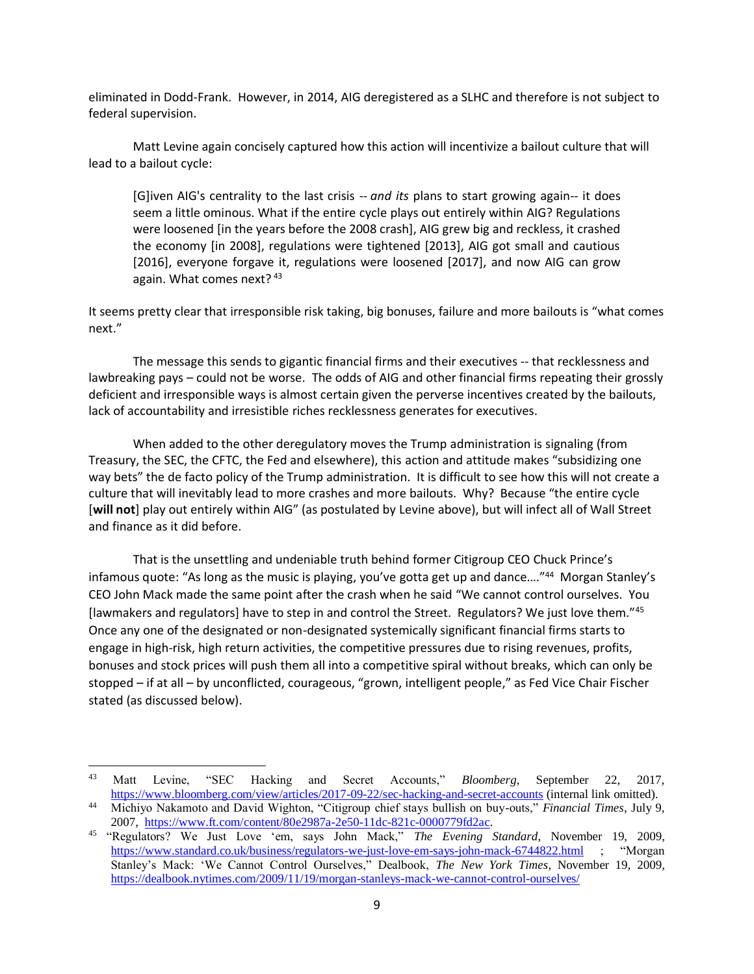eliminated in Dodd-Frank. However, in 2014, AIG deregistered as a SLHC and therefore is not subject to federal supervision.

Matt Levine again concisely captured how this action will incentivize a bailout culture that will lead to a bailout cycle:

[G]iven AIG's centrality to the last crisis -- *and its* plans to start growing again-- it does seem a little ominous. What if the entire cycle plays out entirely within AIG? Regulations were loosened [in the years before the 2008 crash], AIG grew big and reckless, it crashed the economy [in 2008], regulations were tightened [2013], AIG got small and cautious [2016], everyone forgave it, regulations were loosened [2017], and now AIG can grow again. What comes next? 43

It seems pretty clear that irresponsible risk taking, big bonuses, failure and more bailouts is "what comes next."

The message this sends to gigantic financial firms and their executives -- that recklessness and lawbreaking pays – could not be worse. The odds of AIG and other financial firms repeating their grossly deficient and irresponsible ways is almost certain given the perverse incentives created by the bailouts, lack of accountability and irresistible riches recklessness generates for executives.

When added to the other deregulatory moves the Trump administration is signaling (from Treasury, the SEC, the CFTC, the Fed and elsewhere), this action and attitude makes "subsidizing one way bets" the de facto policy of the Trump administration. It is difficult to see how this will not create a culture that will inevitably lead to more crashes and more bailouts. Why? Because "the entire cycle [**will not**] play out entirely within AIG" (as postulated by Levine above), but will infect all of Wall Street and finance as it did before.

That is the unsettling and undeniable truth behind former Citigroup CEO Chuck Prince's infamous quote: "As long as the music is playing, you've gotta get up and dance...."<sup>44</sup> Morgan Stanley's CEO John Mack made the same point after the crash when he said "We cannot control ourselves. You [lawmakers and regulators] have to step in and control the Street. Regulators? We just love them."<sup>45</sup> Once any one of the designated or non-designated systemically significant financial firms starts to engage in high-risk, high return activities, the competitive pressures due to rising revenues, profits, bonuses and stock prices will push them all into a competitive spiral without breaks, which can only be stopped – if at all – by unconflicted, courageous, "grown, intelligent people," as Fed Vice Chair Fischer stated (as discussed below).

l

<sup>43</sup> Matt Levine, "SEC Hacking and Secret Accounts," *Bloomberg*, September 22, 2017, <https://www.bloomberg.com/view/articles/2017-09-22/sec-hacking-and-secret-accounts> (internal link omitted).

<sup>44</sup> Michiyo Nakamoto and David Wighton, "Citigroup chief stays bullish on buy-outs," *Financial Times*, July 9, 2007, [https://www.ft.com/content/80e2987a-2e50-11dc-821c-0000779fd2ac.](https://www.ft.com/content/80e2987a-2e50-11dc-821c-0000779fd2ac)

<sup>45</sup> "Regulators? We Just Love 'em, says John Mack," *The Evening Standard*, November 19, 2009, <https://www.standard.co.uk/business/regulators-we-just-love-em-says-john-mack-6744822.html> ; "Morgan Stanley's Mack: 'We Cannot Control Ourselves," Dealbook, *The New York Times*, November 19, 2009, <https://dealbook.nytimes.com/2009/11/19/morgan-stanleys-mack-we-cannot-control-ourselves/>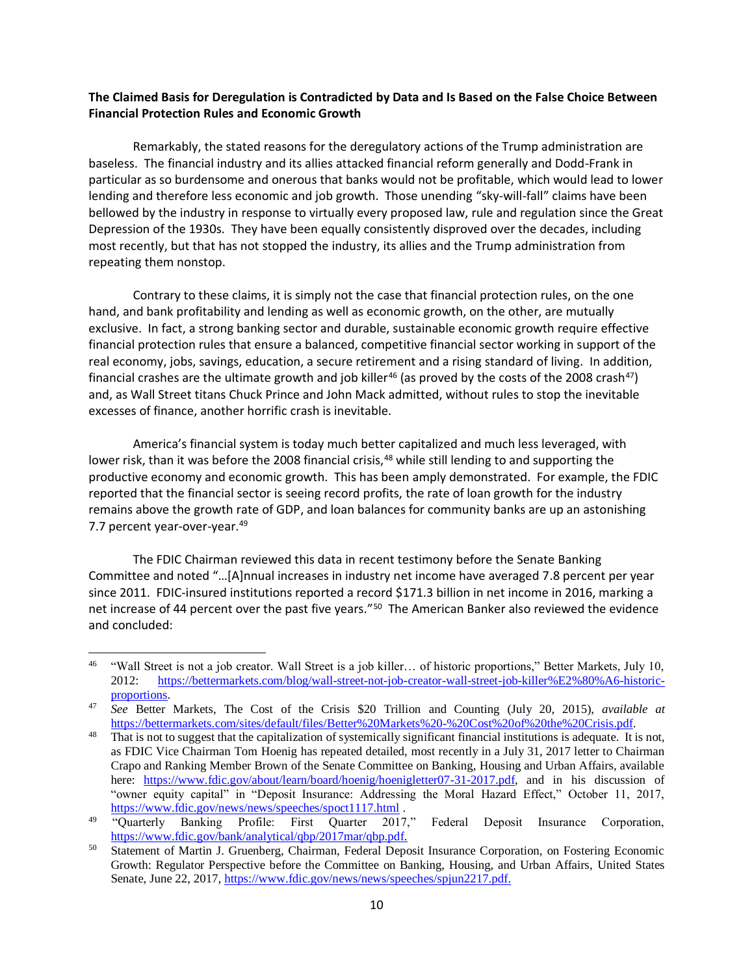### **The Claimed Basis for Deregulation is Contradicted by Data and Is Based on the False Choice Between Financial Protection Rules and Economic Growth**

Remarkably, the stated reasons for the deregulatory actions of the Trump administration are baseless. The financial industry and its allies attacked financial reform generally and Dodd-Frank in particular as so burdensome and onerous that banks would not be profitable, which would lead to lower lending and therefore less economic and job growth. Those unending "sky-will-fall" claims have been bellowed by the industry in response to virtually every proposed law, rule and regulation since the Great Depression of the 1930s. They have been equally consistently disproved over the decades, including most recently, but that has not stopped the industry, its allies and the Trump administration from repeating them nonstop.

Contrary to these claims, it is simply not the case that financial protection rules, on the one hand, and bank profitability and lending as well as economic growth, on the other, are mutually exclusive. In fact, a strong banking sector and durable, sustainable economic growth require effective financial protection rules that ensure a balanced, competitive financial sector working in support of the real economy, jobs, savings, education, a secure retirement and a rising standard of living. In addition, financial crashes are the ultimate growth and job killer<sup>46</sup> (as proved by the costs of the 2008 crash<sup>47</sup>) and, as Wall Street titans Chuck Prince and John Mack admitted, without rules to stop the inevitable excesses of finance, another horrific crash is inevitable.

America's financial system is today much better capitalized and much less leveraged, with lower risk, than it was before the 2008 financial crisis,<sup>48</sup> while still lending to and supporting the productive economy and economic growth. This has been amply demonstrated. For example, the FDIC reported that the financial sector is seeing record profits, the rate of loan growth for the industry remains above the growth rate of GDP, and loan balances for community banks are up an astonishing 7.7 percent year-over-year.<sup>49</sup>

The FDIC Chairman reviewed this data in recent testimony before the Senate Banking Committee and noted "…[A]nnual increases in industry net income have averaged 7.8 percent per year since 2011. FDIC-insured institutions reported a record \$171.3 billion in net income in 2016, marking a net increase of 44 percent over the past five years."<sup>50</sup> The American Banker also reviewed the evidence and concluded:

<sup>46</sup> "Wall Street is not a job creator. Wall Street is a job killer… of historic proportions," Better Markets, July 10, 2012: [https://bettermarkets.com/blog/wall-street-not-job-creator-wall-street-job-killer%E2%80%A6-historic](https://bettermarkets.com/blog/wall-street-not-job-creator-wall-street-job-killer%E2%80%A6-historic-proportions)[proportions.](https://bettermarkets.com/blog/wall-street-not-job-creator-wall-street-job-killer%E2%80%A6-historic-proportions)

<sup>47</sup> *See* Better Markets, The Cost of the Crisis \$20 Trillion and Counting (July 20, 2015), *available at* [https://bettermarkets.com/sites/default/files/Better%20Markets%20-%20Cost%20of%20the%20Crisis.pdf.](https://bettermarkets.com/sites/default/files/Better%20Markets%20-%20Cost%20of%20the%20Crisis.pdf)

 $48$  That is not to suggest that the capitalization of systemically significant financial institutions is adequate. It is not, as FDIC Vice Chairman Tom Hoenig has repeated detailed, most recently in a July 31, 2017 letter to Chairman Crapo and Ranking Member Brown of the Senate Committee on Banking, Housing and Urban Affairs, available here: [https://www.fdic.gov/about/learn/board/hoenig/hoenigletter07-31-2017.pdf,](https://www.fdic.gov/about/learn/board/hoenig/hoenigletter07-31-2017.pdf) and in his discussion of "owner equity capital" in "Deposit Insurance: Addressing the Moral Hazard Effect," October 11, 2017, <https://www.fdic.gov/news/news/speeches/spoct1117.html> .

<sup>&</sup>lt;sup>49</sup> "Quarterly Banking Profile: First Quarter 2017," Federal Deposit Insurance Corporation, [https://www.fdic.gov/bank/analytical/qbp/2017mar/qbp.pdf.](https://www.fdic.gov/bank/analytical/qbp/2017mar/qbp.pdf) 

<sup>&</sup>lt;sup>50</sup> Statement of Martin J. Gruenberg, Chairman, Federal Deposit Insurance Corporation, on Fostering Economic Growth: Regulator Perspective before the Committee on Banking, Housing, and Urban Affairs, United States Senate, June 22, 2017, [https://www.fdic.gov/news/news/speeches/spjun2217.pdf.](https://www.fdic.gov/news/news/speeches/spjun2217.pdf)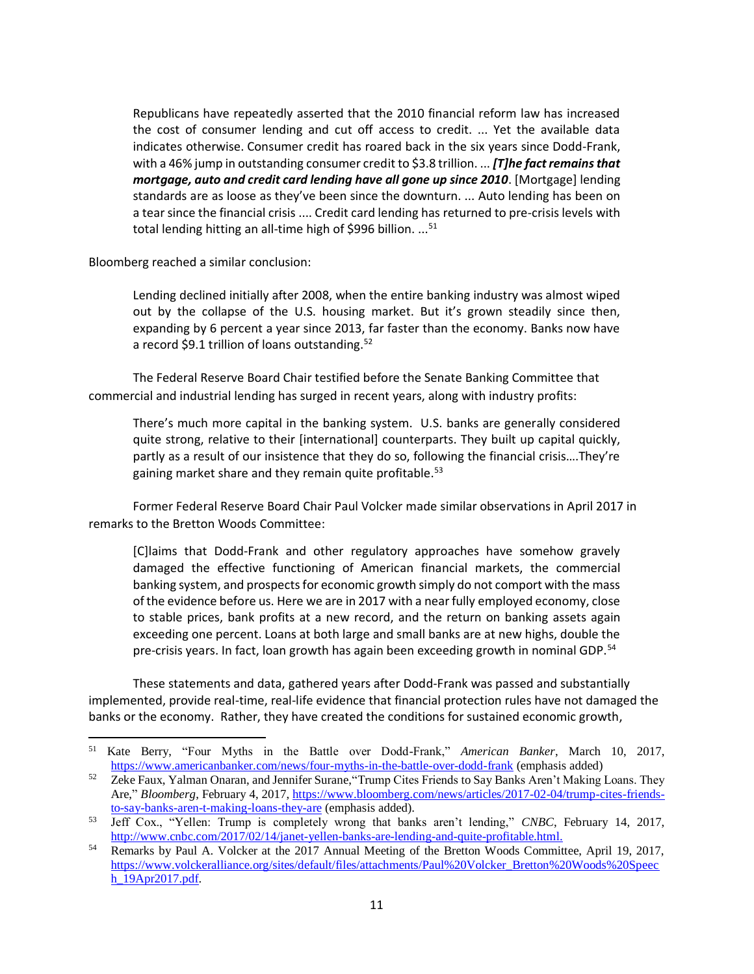Republicans have repeatedly asserted that the 2010 financial reform law has increased the cost of consumer lending and cut off access to credit. ... Yet the available data indicates otherwise. Consumer credit has roared back in the six years since Dodd-Frank, with a 46% jump in outstanding consumer credit to \$3.8 trillion. ... *[T]he fact remains that mortgage, auto and credit card lending have all gone up since 2010*. [Mortgage] lending standards are as loose as they've been since the downturn. ... Auto lending has been on a tear since the financial crisis .... Credit card lending has returned to pre-crisis levels with total lending hitting an all-time high of \$996 billion. ...<sup>51</sup>

Bloomberg reached a similar conclusion:

 $\overline{\phantom{0}}$ 

Lending declined initially after 2008, when the entire banking industry was almost wiped out by the collapse of the U.S. housing market. But it's grown steadily since then, expanding by 6 percent a year since 2013, far faster than the economy. Banks now have a record \$9.1 trillion of loans outstanding.<sup>52</sup>

The Federal Reserve Board Chair testified before the Senate Banking Committee that commercial and industrial lending has surged in recent years, along with industry profits:

There's much more capital in the banking system. U.S. banks are generally considered quite strong, relative to their [international] counterparts. They built up capital quickly, partly as a result of our insistence that they do so, following the financial crisis….They're gaining market share and they remain quite profitable.<sup>53</sup>

Former Federal Reserve Board Chair Paul Volcker made similar observations in April 2017 in remarks to the Bretton Woods Committee:

[C]laims that Dodd-Frank and other regulatory approaches have somehow gravely damaged the effective functioning of American financial markets, the commercial banking system, and prospects for economic growth simply do not comport with the mass of the evidence before us. Here we are in 2017 with a near fully employed economy, close to stable prices, bank profits at a new record, and the return on banking assets again exceeding one percent. Loans at both large and small banks are at new highs, double the pre-crisis years. In fact, loan growth has again been exceeding growth in nominal GDP.<sup>54</sup>

These statements and data, gathered years after Dodd-Frank was passed and substantially implemented, provide real-time, real-life evidence that financial protection rules have not damaged the banks or the economy. Rather, they have created the conditions for sustained economic growth,

<sup>51</sup> Kate Berry, "Four Myths in the Battle over Dodd-Frank," *American Banker*, March 10, 2017, <https://www.americanbanker.com/news/four-myths-in-the-battle-over-dodd-frank> (emphasis added)

<sup>&</sup>lt;sup>52</sup> Zeke Faux, Yalman Onaran, and Jennifer Surane, "Trump Cites Friends to Say Banks Aren't Making Loans. They Are," *Bloomberg*, February 4, 2017, [https://www.bloomberg.com/news/articles/2017-02-04/trump-cites-friends](https://www.bloomberg.com/news/articles/2017-02-04/trump-cites-friends-to-say-banks-aren-t-making-loans-they-are)[to-say-banks-aren-t-making-loans-they-are](https://www.bloomberg.com/news/articles/2017-02-04/trump-cites-friends-to-say-banks-aren-t-making-loans-they-are) (emphasis added).

<sup>53</sup> Jeff Cox., "Yellen: Trump is completely wrong that banks aren't lending," *CNBC*, February 14, 2017, [http://www.cnbc.com/2017/02/14/janet-yellen-banks-are-lending-and-quite-profitable.html.](http://www.cnbc.com/2017/02/14/janet-yellen-banks-are-lending-and-quite-profitable.html)

<sup>&</sup>lt;sup>54</sup> Remarks by Paul A. Volcker at the 2017 Annual Meeting of the Bretton Woods Committee, April 19, 2017, [https://www.volckeralliance.org/sites/default/files/attachments/Paul%20Volcker\\_Bretton%20Woods%20Speec](https://www.volckeralliance.org/sites/default/files/attachments/Paul%20Volcker_Bretton%20Woods%20Speech_19Apr2017.pdf) [h\\_19Apr2017.pdf.](https://www.volckeralliance.org/sites/default/files/attachments/Paul%20Volcker_Bretton%20Woods%20Speech_19Apr2017.pdf)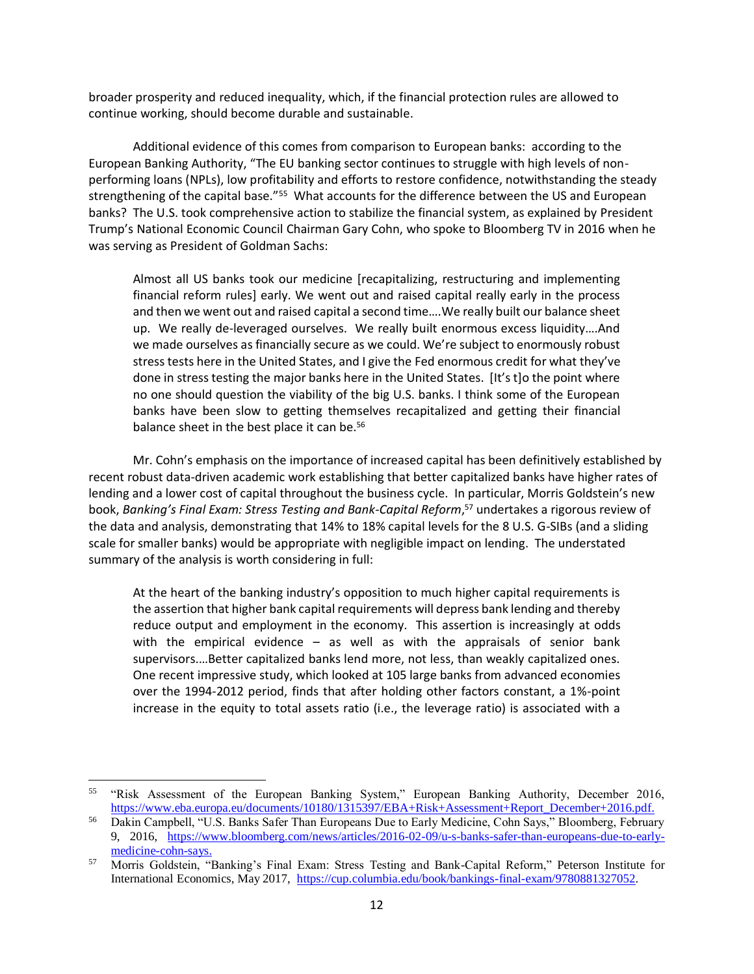broader prosperity and reduced inequality, which, if the financial protection rules are allowed to continue working, should become durable and sustainable.

Additional evidence of this comes from comparison to European banks: according to the European Banking Authority, "The EU banking sector continues to struggle with high levels of nonperforming loans (NPLs), low profitability and efforts to restore confidence, notwithstanding the steady strengthening of the capital base."<sup>55</sup> What accounts for the difference between the US and European banks? The U.S. took comprehensive action to stabilize the financial system, as explained by President Trump's National Economic Council Chairman Gary Cohn, who spoke to Bloomberg TV in 2016 when he was serving as President of Goldman Sachs:

Almost all US banks took our medicine [recapitalizing, restructuring and implementing financial reform rules] early. We went out and raised capital really early in the process and then we went out and raised capital a second time….We really built our balance sheet up. We really de-leveraged ourselves. We really built enormous excess liquidity….And we made ourselves as financially secure as we could. We're subject to enormously robust stress tests here in the United States, and I give the Fed enormous credit for what they've done in stress testing the major banks here in the United States. [It's t]o the point where no one should question the viability of the big U.S. banks. I think some of the European banks have been slow to getting themselves recapitalized and getting their financial balance sheet in the best place it can be.<sup>56</sup>

Mr. Cohn's emphasis on the importance of increased capital has been definitively established by recent robust data-driven academic work establishing that better capitalized banks have higher rates of lending and a lower cost of capital throughout the business cycle. In particular, Morris Goldstein's new book, *Banking's Final Exam: Stress Testing and Bank-Capital Reform*, <sup>57</sup> undertakes a rigorous review of the data and analysis, demonstrating that 14% to 18% capital levels for the 8 U.S. G-SIBs (and a sliding scale for smaller banks) would be appropriate with negligible impact on lending. The understated summary of the analysis is worth considering in full:

At the heart of the banking industry's opposition to much higher capital requirements is the assertion that higher bank capital requirements will depress bank lending and thereby reduce output and employment in the economy. This assertion is increasingly at odds with the empirical evidence – as well as with the appraisals of senior bank supervisors.…Better capitalized banks lend more, not less, than weakly capitalized ones. One recent impressive study, which looked at 105 large banks from advanced economies over the 1994-2012 period, finds that after holding other factors constant, a 1%-point increase in the equity to total assets ratio (i.e., the leverage ratio) is associated with a

 $\overline{\phantom{0}}$ 

<sup>&</sup>lt;sup>55</sup> "Risk Assessment of the European Banking System," European Banking Authority, December 2016, [https://www.eba.europa.eu/documents/10180/1315397/EBA+Risk+Assessment+Report\\_December+2016.pdf.](https://www.eba.europa.eu/documents/10180/1315397/EBA+Risk+Assessment+Report_December+2016.pdf)

<sup>56</sup> Dakin Campbell, "U.S. Banks Safer Than Europeans Due to Early Medicine, Cohn Says," Bloomberg, February 9, 2016, [https://www.bloomberg.com/news/articles/2016-02-09/u-s-banks-safer-than-europeans-due-to-early](https://www.bloomberg.com/news/articles/2016-02-09/u-s-banks-safer-than-europeans-due-to-early-medicine-cohn-says)[medicine-cohn-says.](https://www.bloomberg.com/news/articles/2016-02-09/u-s-banks-safer-than-europeans-due-to-early-medicine-cohn-says)

<sup>57</sup> Morris Goldstein, "Banking's Final Exam: Stress Testing and Bank-Capital Reform," Peterson Institute for International Economics, May 2017, [https://cup.columbia.edu/book/bankings-final-exam/9780881327052.](https://cup.columbia.edu/book/bankings-final-exam/9780881327052)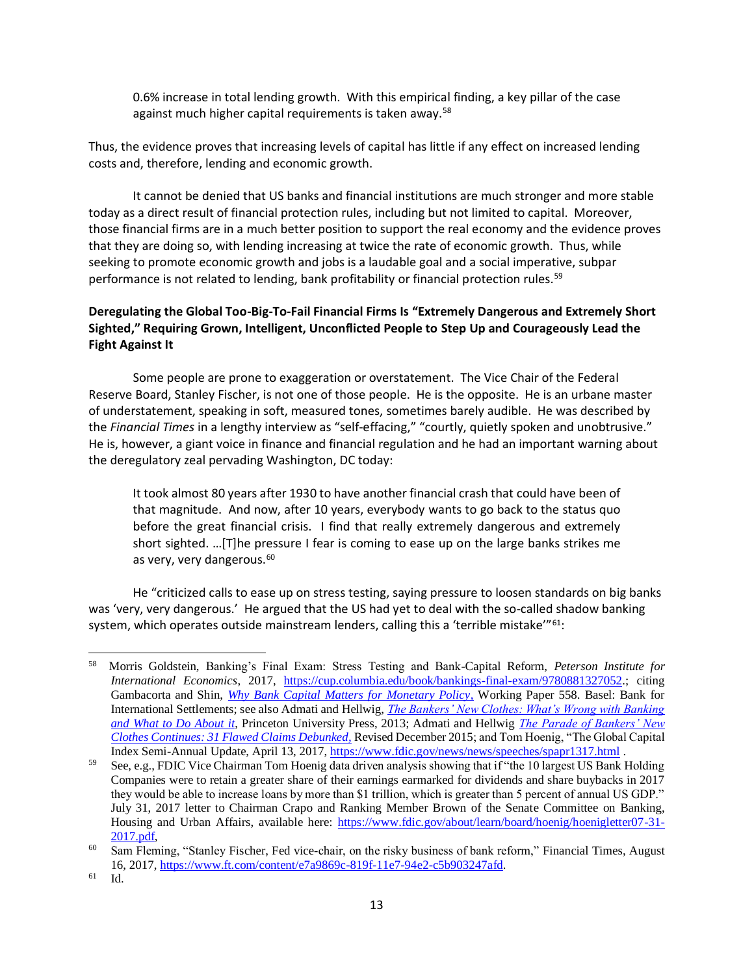0.6% increase in total lending growth. With this empirical finding, a key pillar of the case against much higher capital requirements is taken away.<sup>58</sup>

Thus, the evidence proves that increasing levels of capital has little if any effect on increased lending costs and, therefore, lending and economic growth.

It cannot be denied that US banks and financial institutions are much stronger and more stable today as a direct result of financial protection rules, including but not limited to capital. Moreover, those financial firms are in a much better position to support the real economy and the evidence proves that they are doing so, with lending increasing at twice the rate of economic growth. Thus, while seeking to promote economic growth and jobs is a laudable goal and a social imperative, subpar performance is not related to lending, bank profitability or financial protection rules.<sup>59</sup>

# **Deregulating the Global Too-Big-To-Fail Financial Firms Is "Extremely Dangerous and Extremely Short Sighted," Requiring Grown, Intelligent, Unconflicted People to Step Up and Courageously Lead the Fight Against It**

Some people are prone to exaggeration or overstatement. The Vice Chair of the Federal Reserve Board, Stanley Fischer, is not one of those people. He is the opposite. He is an urbane master of understatement, speaking in soft, measured tones, sometimes barely audible. He was described by the *Financial Times* in a lengthy interview as "self-effacing," "courtly, quietly spoken and unobtrusive." He is, however, a giant voice in finance and financial regulation and he had an important warning about the deregulatory zeal pervading Washington, DC today:

It took almost 80 years after 1930 to have another financial crash that could have been of that magnitude. And now, after 10 years, everybody wants to go back to the status quo before the great financial crisis. I find that really extremely dangerous and extremely short sighted. …[T]he pressure I fear is coming to ease up on the large banks strikes me as very, very dangerous.<sup>60</sup>

He "criticized calls to ease up on stress testing, saying pressure to loosen standards on big banks was 'very, very dangerous.' He argued that the US had yet to deal with the so-called shadow banking system, which operates outside mainstream lenders, calling this a 'terrible mistake'" $61$ :

<sup>58</sup> Morris Goldstein, Banking's Final Exam: Stress Testing and Bank-Capital Reform, *Peterson Institute for International Economics*, 2017, [https://cup.columbia.edu/book/bankings-final-exam/9780881327052.;](https://cup.columbia.edu/book/bankings-final-exam/9780881327052) citing Gambacorta and Shin, *[Why Bank Capital Matters for Monetary Policy,](http://www.bis.org/publ/work558.pdf)* Working Paper 558. Basel: Bank for International Settlements; see also Admati and Hellwig, *[The Bankers' New Clothes: What's Wrong with Banking](https://www.amazon.com/Bankers-New-Clothes-Whats-Banking/dp/0691156840/ref=sr_1_1?ie=UTF8&qid=1495564805&sr=8-1&keywords=anat+admati)  [and What to Do About it](https://www.amazon.com/Bankers-New-Clothes-Whats-Banking/dp/0691156840/ref=sr_1_1?ie=UTF8&qid=1495564805&sr=8-1&keywords=anat+admati)*, Princeton University Press, 2013; Admati and Hellwig *[The Parade of Bankers' New](http://bankersnewclothes.com/wp-content/uploads/2016/01/Parade-Continues-2015.pdf)  [Clothes Continues: 31 Flawed Claims Debunked,](http://bankersnewclothes.com/wp-content/uploads/2016/01/Parade-Continues-2015.pdf)* Revised December 2015; and Tom Hoenig, "The Global Capital Index Semi-Annual Update, April 13, 2017,<https://www.fdic.gov/news/news/speeches/spapr1317.html> .

<sup>59</sup> See, e.g., FDIC Vice Chairman Tom Hoenig data driven analysis showing that if "the 10 largest US Bank Holding Companies were to retain a greater share of their earnings earmarked for dividends and share buybacks in 2017 they would be able to increase loans by more than \$1 trillion, which is greater than 5 percent of annual US GDP." July 31, 2017 letter to Chairman Crapo and Ranking Member Brown of the Senate Committee on Banking, Housing and Urban Affairs, available here: [https://www.fdic.gov/about/learn/board/hoenig/hoenigletter07-31-](https://www.fdic.gov/about/learn/board/hoenig/hoenigletter07-31-2017.pdf) [2017.pdf,](https://www.fdic.gov/about/learn/board/hoenig/hoenigletter07-31-2017.pdf)

<sup>&</sup>lt;sup>60</sup> Sam Fleming, "Stanley Fischer, Fed vice-chair, on the risky business of bank reform," Financial Times, August 16, 2017, [https://www.ft.com/content/e7a9869c-819f-11e7-94e2-c5b903247afd.](https://www.ft.com/content/e7a9869c-819f-11e7-94e2-c5b903247afd)

<sup>61</sup> Id.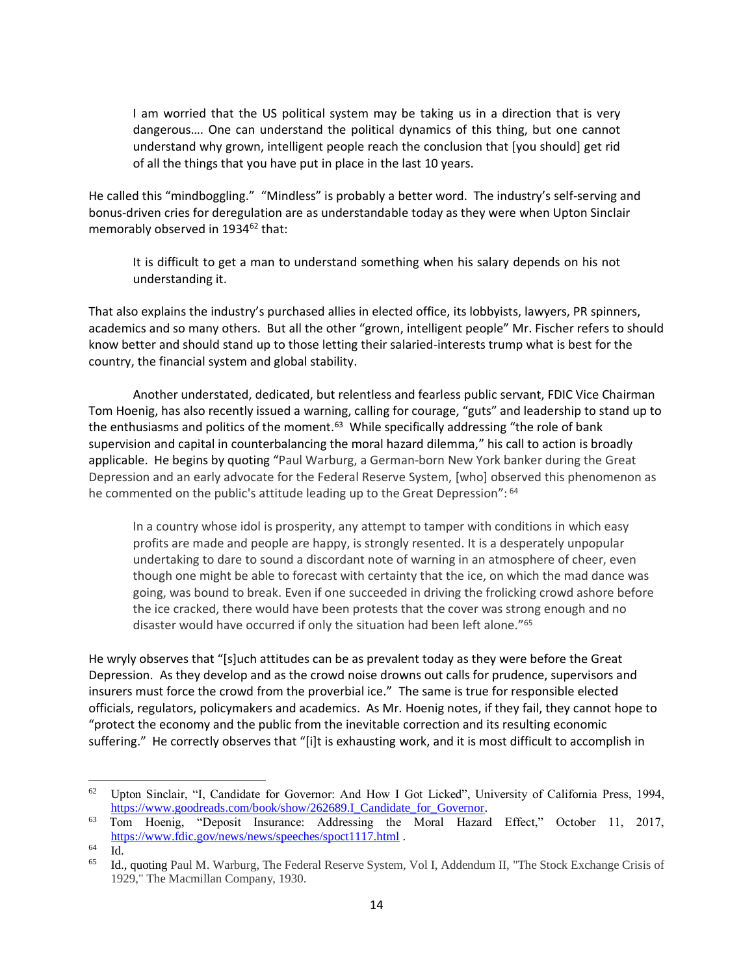I am worried that the US political system may be taking us in a direction that is very dangerous…. One can understand the political dynamics of this thing, but one cannot understand why grown, intelligent people reach the conclusion that [you should] get rid of all the things that you have put in place in the last 10 years.

He called this "mindboggling." "Mindless" is probably a better word. The industry's self-serving and bonus-driven cries for deregulation are as understandable today as they were when Upton Sinclair memorably observed in 1934<sup>62</sup> that:

It is difficult to get a man to understand something when his salary depends on his not understanding it.

That also explains the industry's purchased allies in elected office, its lobbyists, lawyers, PR spinners, academics and so many others. But all the other "grown, intelligent people" Mr. Fischer refers to should know better and should stand up to those letting their salaried-interests trump what is best for the country, the financial system and global stability.

Another understated, dedicated, but relentless and fearless public servant, FDIC Vice Chairman Tom Hoenig, has also recently issued a warning, calling for courage, "guts" and leadership to stand up to the enthusiasms and politics of the moment.<sup>63</sup> While specifically addressing "the role of bank supervision and capital in counterbalancing the moral hazard dilemma," his call to action is broadly applicable. He begins by quoting "Paul Warburg, a German-born New York banker during the Great Depression and an early advocate for the Federal Reserve System, [who] observed this phenomenon as he commented on the public's attitude leading up to the Great Depression": <sup>64</sup>

In a country whose idol is prosperity, any attempt to tamper with conditions in which easy profits are made and people are happy, is strongly resented. It is a desperately unpopular undertaking to dare to sound a discordant note of warning in an atmosphere of cheer, even though one might be able to forecast with certainty that the ice, on which the mad dance was going, was bound to break. Even if one succeeded in driving the frolicking crowd ashore before the ice cracked, there would have been protests that the cover was strong enough and no disaster would have occurred if only the situation had been left alone."<sup>65</sup>

He wryly observes that "[s]uch attitudes can be as prevalent today as they were before the Great Depression. As they develop and as the crowd noise drowns out calls for prudence, supervisors and insurers must force the crowd from the proverbial ice." The same is true for responsible elected officials, regulators, policymakers and academics. As Mr. Hoenig notes, if they fail, they cannot hope to "protect the economy and the public from the inevitable correction and its resulting economic suffering." He correctly observes that "[i]t is exhausting work, and it is most difficult to accomplish in

 $\overline{\phantom{0}}$ 

<sup>62</sup> Upton Sinclair, "I, Candidate for Governor: And How I Got Licked", University of California Press, 1994, [https://www.goodreads.com/book/show/262689.I\\_Candidate\\_for\\_Governor.](https://www.goodreads.com/book/show/262689.I_Candidate_for_Governor)

<sup>63</sup> Tom Hoenig, "Deposit Insurance: Addressing the Moral Hazard Effect," October 11, 2017, <https://www.fdic.gov/news/news/speeches/spoct1117.html> .

<sup>64</sup> Id.

<sup>65</sup> Id., quoting Paul M. Warburg, The Federal Reserve System, Vol I, Addendum II, "The Stock Exchange Crisis of 1929," The Macmillan Company, 1930.